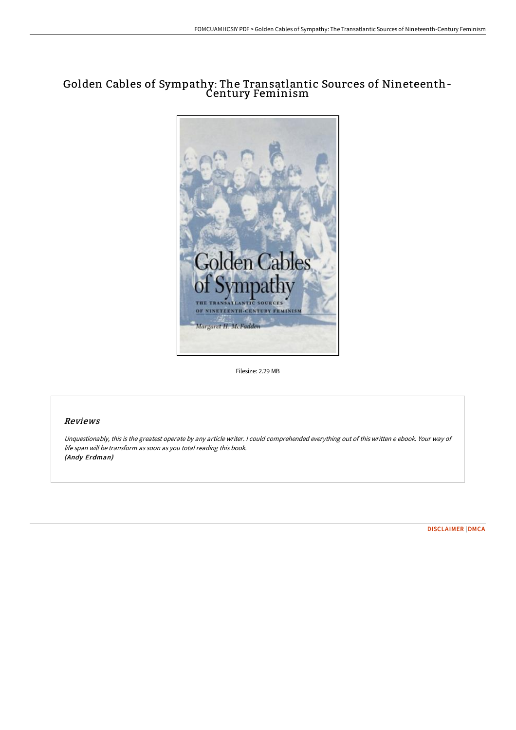# Golden Cables of Sympathy: The Transatlantic Sources of Nineteenth-Century Feminism



Filesize: 2.29 MB

## Reviews

Unquestionably, this is the greatest operate by any article writer. <sup>I</sup> could comprehended everything out of this written <sup>e</sup> ebook. Your way of life span will be transform as soon as you total reading this book. (Andy Erdman)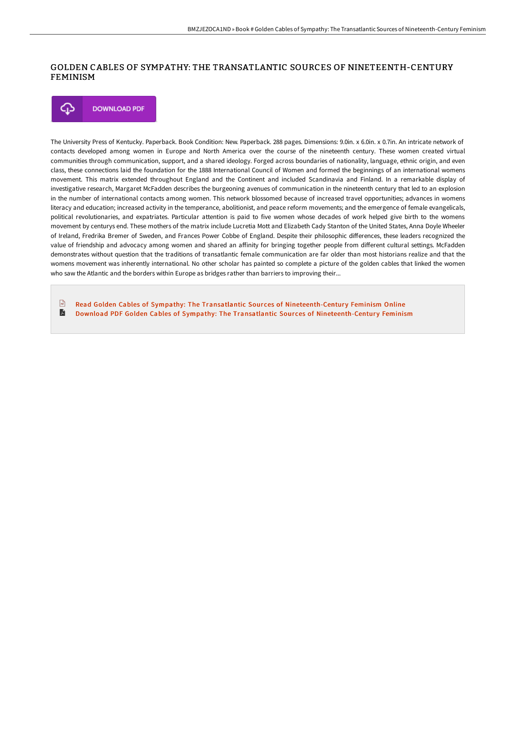## GOLDEN CABLES OF SYMPATHY: THE TRANSATLANTIC SOURCES OF NINETEENTH-CENTURY FEMINISM

**DOWNLOAD PDF** Φ

The University Press of Kentucky. Paperback. Book Condition: New. Paperback. 288 pages. Dimensions: 9.0in. x 6.0in. x 0.7in. An intricate network of contacts developed among women in Europe and North America over the course of the nineteenth century. These women created virtual communities through communication, support, and a shared ideology. Forged across boundaries of nationality, language, ethnic origin, and even class, these connections laid the foundation for the 1888 International Council of Women and formed the beginnings of an international womens movement. This matrix extended throughout England and the Continent and included Scandinavia and Finland. In a remarkable display of investigative research, Margaret McFadden describes the burgeoning avenues of communication in the nineteenth century that led to an explosion in the number of international contacts among women. This network blossomed because of increased travel opportunities; advances in womens literacy and education; increased activity in the temperance, abolitionist, and peace reform movements; and the emergence of female evangelicals, political revolutionaries, and expatriates. Particular attention is paid to five women whose decades of work helped give birth to the womens movement by centurys end. These mothers of the matrix include Lucretia Mott and Elizabeth Cady Stanton of the United States, Anna Doyle Wheeler of Ireland, Fredrika Bremer of Sweden, and Frances Power Cobbe of England. Despite their philosophic differences, these leaders recognized the value of friendship and advocacy among women and shared an affinity for bringing together people from different cultural settings. McFadden demonstrates without question that the traditions of transatlantic female communication are far older than most historians realize and that the womens movement was inherently international. No other scholar has painted so complete a picture of the golden cables that linked the women who saw the Atlantic and the borders within Europe as bridges rather than barriers to improving their...

 $\sqrt{100}$ Read Golden Cables of Sympathy: The Transatlantic Sources of [Nineteenth-Centur](http://techno-pub.tech/golden-cables-of-sympathy-the-transatlantic-sour.html)y Feminism Online A Download PDF Golden Cables of Sympathy: The Transatlantic Sources of [Nineteenth-Centur](http://techno-pub.tech/golden-cables-of-sympathy-the-transatlantic-sour.html)y Feminism